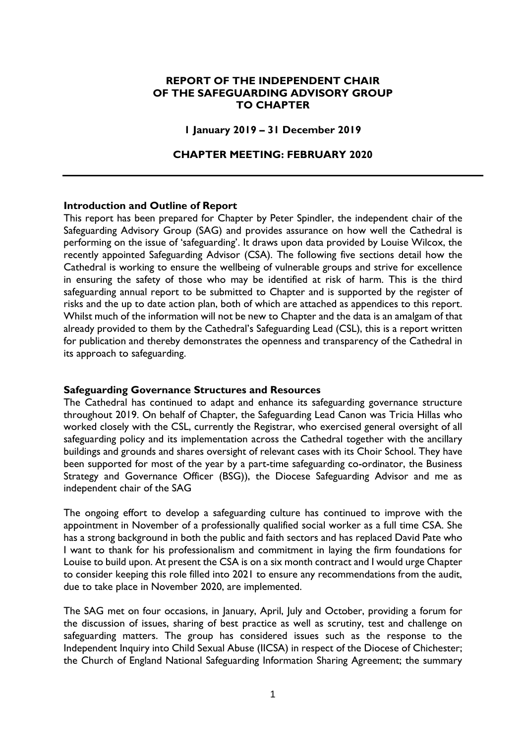## **REPORT OF THE INDEPENDENT CHAIR OF THE SAFEGUARDING ADVISORY GROUP TO CHAPTER**

#### **1 January 2019 – 31 December 2019**

#### **CHAPTER MEETING: FEBRUARY 2020**

#### **Introduction and Outline of Report**

This report has been prepared for Chapter by Peter Spindler, the independent chair of the Safeguarding Advisory Group (SAG) and provides assurance on how well the Cathedral is performing on the issue of 'safeguarding'. It draws upon data provided by Louise Wilcox, the recently appointed Safeguarding Advisor (CSA). The following five sections detail how the Cathedral is working to ensure the wellbeing of vulnerable groups and strive for excellence in ensuring the safety of those who may be identified at risk of harm. This is the third safeguarding annual report to be submitted to Chapter and is supported by the register of risks and the up to date action plan, both of which are attached as appendices to this report. Whilst much of the information will not be new to Chapter and the data is an amalgam of that already provided to them by the Cathedral's Safeguarding Lead (CSL), this is a report written for publication and thereby demonstrates the openness and transparency of the Cathedral in its approach to safeguarding.

#### **Safeguarding Governance Structures and Resources**

The Cathedral has continued to adapt and enhance its safeguarding governance structure throughout 2019. On behalf of Chapter, the Safeguarding Lead Canon was Tricia Hillas who worked closely with the CSL, currently the Registrar, who exercised general oversight of all safeguarding policy and its implementation across the Cathedral together with the ancillary buildings and grounds and shares oversight of relevant cases with its Choir School. They have been supported for most of the year by a part-time safeguarding co-ordinator, the Business Strategy and Governance Officer (BSG)), the Diocese Safeguarding Advisor and me as independent chair of the SAG

The ongoing effort to develop a safeguarding culture has continued to improve with the appointment in November of a professionally qualified social worker as a full time CSA. She has a strong background in both the public and faith sectors and has replaced David Pate who I want to thank for his professionalism and commitment in laying the firm foundations for Louise to build upon. At present the CSA is on a six month contract and I would urge Chapter to consider keeping this role filled into 2021 to ensure any recommendations from the audit, due to take place in November 2020, are implemented.

The SAG met on four occasions, in January, April, July and October, providing a forum for the discussion of issues, sharing of best practice as well as scrutiny, test and challenge on safeguarding matters. The group has considered issues such as the response to the Independent Inquiry into Child Sexual Abuse (IICSA) in respect of the Diocese of Chichester; the Church of England National Safeguarding Information Sharing Agreement; the summary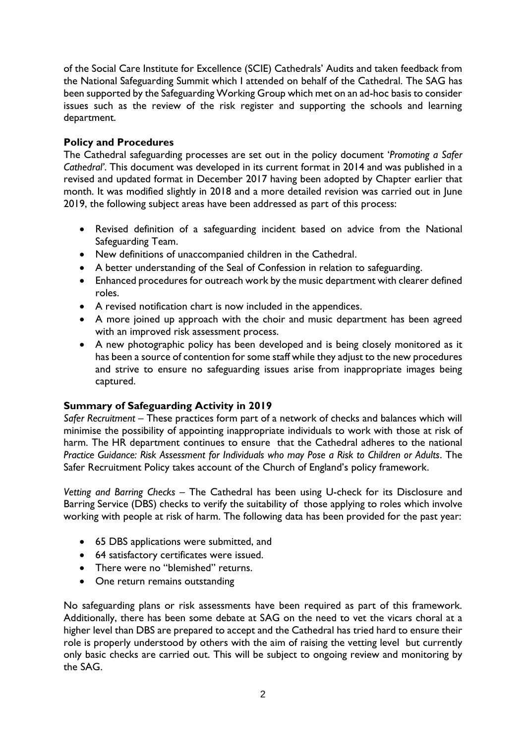of the Social Care Institute for Excellence (SCIE) Cathedrals' Audits and taken feedback from the National Safeguarding Summit which I attended on behalf of the Cathedral. The SAG has been supported by the Safeguarding Working Group which met on an ad-hoc basis to consider issues such as the review of the risk register and supporting the schools and learning department.

# **Policy and Procedures**

The Cathedral safeguarding processes are set out in the policy document '*Promoting a Safer Cathedral'*. This document was developed in its current format in 2014 and was published in a revised and updated format in December 2017 having been adopted by Chapter earlier that month. It was modified slightly in 2018 and a more detailed revision was carried out in June 2019, the following subject areas have been addressed as part of this process:

- Revised definition of a safeguarding incident based on advice from the National Safeguarding Team.
- New definitions of unaccompanied children in the Cathedral.
- A better understanding of the Seal of Confession in relation to safeguarding.
- Enhanced procedures for outreach work by the music department with clearer defined roles.
- A revised notification chart is now included in the appendices.
- A more joined up approach with the choir and music department has been agreed with an improved risk assessment process.
- A new photographic policy has been developed and is being closely monitored as it has been a source of contention for some staff while they adjust to the new procedures and strive to ensure no safeguarding issues arise from inappropriate images being captured.

## **Summary of Safeguarding Activity in 2019**

*Safer Recruitment* – These practices form part of a network of checks and balances which will minimise the possibility of appointing inappropriate individuals to work with those at risk of harm. The HR department continues to ensure that the Cathedral adheres to the national *Practice Guidance: Risk Assessment for Individuals who may Pose a Risk to Children or Adults*. The Safer Recruitment Policy takes account of the Church of England's policy framework.

*Vetting and Barring Checks* – The Cathedral has been using U-check for its Disclosure and Barring Service (DBS) checks to verify the suitability of those applying to roles which involve working with people at risk of harm. The following data has been provided for the past year:

- 65 DBS applications were submitted, and
- 64 satisfactory certificates were issued.
- There were no "blemished" returns.
- One return remains outstanding

No safeguarding plans or risk assessments have been required as part of this framework. Additionally, there has been some debate at SAG on the need to vet the vicars choral at a higher level than DBS are prepared to accept and the Cathedral has tried hard to ensure their role is properly understood by others with the aim of raising the vetting level but currently only basic checks are carried out. This will be subject to ongoing review and monitoring by the SAG.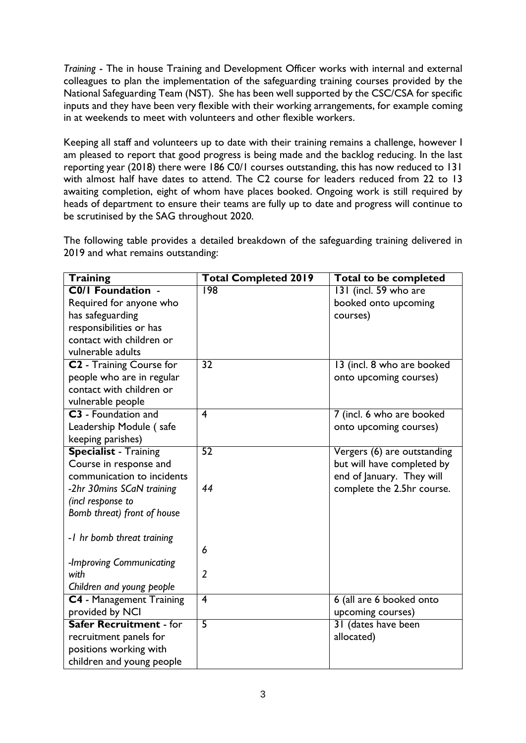*Training* - The in house Training and Development Officer works with internal and external colleagues to plan the implementation of the safeguarding training courses provided by the National Safeguarding Team (NST). She has been well supported by the CSC/CSA for specific inputs and they have been very flexible with their working arrangements, for example coming in at weekends to meet with volunteers and other flexible workers.

Keeping all staff and volunteers up to date with their training remains a challenge, however I am pleased to report that good progress is being made and the backlog reducing. In the last reporting year (2018) there were 186 C0/1 courses outstanding, this has now reduced to 131 with almost half have dates to attend. The C2 course for leaders reduced from 22 to 13 awaiting completion, eight of whom have places booked. Ongoing work is still required by heads of department to ensure their teams are fully up to date and progress will continue to be scrutinised by the SAG throughout 2020.

**Training Total Completed 2019 Total to be completed C0/1 Foundation** - Required for anyone who has safeguarding responsibilities or has contact with children or vulnerable adults 198 131 (incl. 59 who are booked onto upcoming courses) **C2** - Training Course for people who are in regular contact with children or vulnerable people 32 13 (incl. 8 who are booked onto upcoming courses) **C3** - Foundation and Leadership Module ( safe keeping parishes) 4 7 (incl. 6 who are booked onto upcoming courses) **Specialist** - Training Course in response and communication to incidents *-2hr 30mins SCaN training (incl response to Bomb threat) front of house -1 hr bomb threat training -Improving Communicating with Children and young people* 52 *44 6 2* Vergers (6) are outstanding but will have completed by end of January. They will complete the 2.5hr course. **C4** - Management Training provided by NCI 4 6 (all are 6 booked onto upcoming courses) **Safer Recruitment** - for recruitment panels for positions working with children and young people 5 31 (dates have been allocated)

The following table provides a detailed breakdown of the safeguarding training delivered in 2019 and what remains outstanding: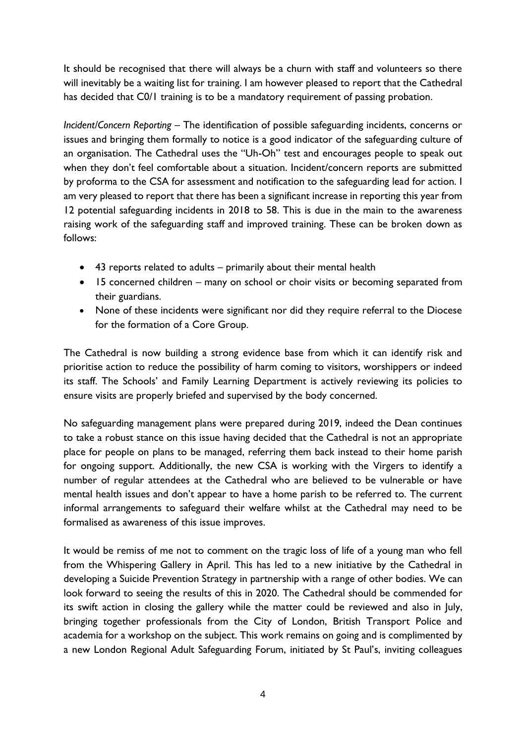It should be recognised that there will always be a churn with staff and volunteers so there will inevitably be a waiting list for training. I am however pleased to report that the Cathedral has decided that C0/1 training is to be a mandatory requirement of passing probation.

*Incident/Concern Reporting* – The identification of possible safeguarding incidents, concerns or issues and bringing them formally to notice is a good indicator of the safeguarding culture of an organisation. The Cathedral uses the "Uh-Oh" test and encourages people to speak out when they don't feel comfortable about a situation. Incident/concern reports are submitted by proforma to the CSA for assessment and notification to the safeguarding lead for action. I am very pleased to report that there has been a significant increase in reporting this year from 12 potential safeguarding incidents in 2018 to 58. This is due in the main to the awareness raising work of the safeguarding staff and improved training. These can be broken down as follows:

- 43 reports related to adults primarily about their mental health
- 15 concerned children many on school or choir visits or becoming separated from their guardians.
- None of these incidents were significant nor did they require referral to the Diocese for the formation of a Core Group.

The Cathedral is now building a strong evidence base from which it can identify risk and prioritise action to reduce the possibility of harm coming to visitors, worshippers or indeed its staff. The Schools' and Family Learning Department is actively reviewing its policies to ensure visits are properly briefed and supervised by the body concerned.

No safeguarding management plans were prepared during 2019, indeed the Dean continues to take a robust stance on this issue having decided that the Cathedral is not an appropriate place for people on plans to be managed, referring them back instead to their home parish for ongoing support. Additionally, the new CSA is working with the Virgers to identify a number of regular attendees at the Cathedral who are believed to be vulnerable or have mental health issues and don't appear to have a home parish to be referred to. The current informal arrangements to safeguard their welfare whilst at the Cathedral may need to be formalised as awareness of this issue improves.

It would be remiss of me not to comment on the tragic loss of life of a young man who fell from the Whispering Gallery in April. This has led to a new initiative by the Cathedral in developing a Suicide Prevention Strategy in partnership with a range of other bodies. We can look forward to seeing the results of this in 2020. The Cathedral should be commended for its swift action in closing the gallery while the matter could be reviewed and also in July, bringing together professionals from the City of London, British Transport Police and academia for a workshop on the subject. This work remains on going and is complimented by a new London Regional Adult Safeguarding Forum, initiated by St Paul's, inviting colleagues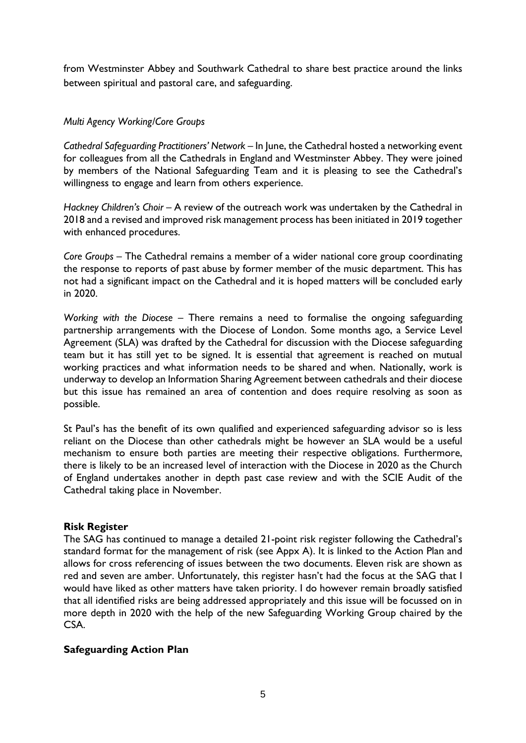from Westminster Abbey and Southwark Cathedral to share best practice around the links between spiritual and pastoral care, and safeguarding.

## *Multi Agency Working/Core Groups*

*Cathedral Safeguarding Practitioners' Network –* In June, the Cathedral hosted a networking event for colleagues from all the Cathedrals in England and Westminster Abbey. They were joined by members of the National Safeguarding Team and it is pleasing to see the Cathedral's willingness to engage and learn from others experience.

*Hackney Children's Choir –* A review of the outreach work was undertaken by the Cathedral in 2018 and a revised and improved risk management process has been initiated in 2019 together with enhanced procedures.

*Core Groups* – The Cathedral remains a member of a wider national core group coordinating the response to reports of past abuse by former member of the music department. This has not had a significant impact on the Cathedral and it is hoped matters will be concluded early in 2020.

*Working with the Diocese* – There remains a need to formalise the ongoing safeguarding partnership arrangements with the Diocese of London. Some months ago, a Service Level Agreement (SLA) was drafted by the Cathedral for discussion with the Diocese safeguarding team but it has still yet to be signed. It is essential that agreement is reached on mutual working practices and what information needs to be shared and when. Nationally, work is underway to develop an Information Sharing Agreement between cathedrals and their diocese but this issue has remained an area of contention and does require resolving as soon as possible.

St Paul's has the benefit of its own qualified and experienced safeguarding advisor so is less reliant on the Diocese than other cathedrals might be however an SLA would be a useful mechanism to ensure both parties are meeting their respective obligations. Furthermore, there is likely to be an increased level of interaction with the Diocese in 2020 as the Church of England undertakes another in depth past case review and with the SCIE Audit of the Cathedral taking place in November.

#### **Risk Register**

The SAG has continued to manage a detailed 21-point risk register following the Cathedral's standard format for the management of risk (see Appx A). It is linked to the Action Plan and allows for cross referencing of issues between the two documents. Eleven risk are shown as red and seven are amber. Unfortunately, this register hasn't had the focus at the SAG that I would have liked as other matters have taken priority. I do however remain broadly satisfied that all identified risks are being addressed appropriately and this issue will be focussed on in more depth in 2020 with the help of the new Safeguarding Working Group chaired by the CSA.

## **Safeguarding Action Plan**